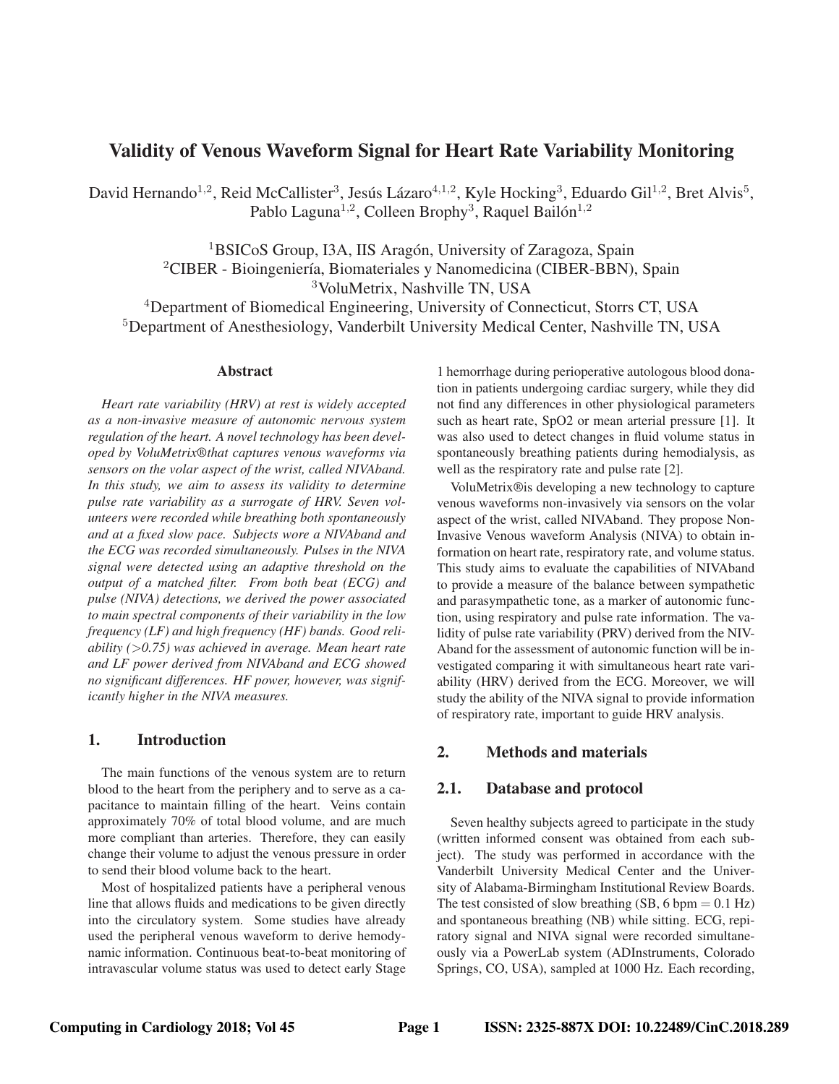# **Validity of Venous Waveform Signal for Heart Rate Variability Monitoring**

David Hernando<sup>1,2</sup>, Reid McCallister<sup>3</sup>, Jesús Lázaro<sup>4,1,2</sup>, Kyle Hocking<sup>3</sup>, Eduardo Gil<sup>1,2</sup>, Bret Alvis<sup>5</sup>, Pablo Laguna<sup>1,2</sup>, Colleen Brophy<sup>3</sup>, Raquel Bailón<sup>1,2</sup>

> <sup>1</sup>BSICoS Group, I3A, IIS Aragón, University of Zaragoza, Spain  ${}^{2}$ CIBER - Bioingeniería, Biomateriales y Nanomedicina (CIBER-BBN), Spain <sup>3</sup>VoluMetrix, Nashville TN, USA

<sup>4</sup>Department of Biomedical Engineering, University of Connecticut, Storrs CT, USA <sup>5</sup>Department of Anesthesiology, Vanderbilt University Medical Center, Nashville TN, USA

#### **Abstract**

*Heart rate variability (HRV) at rest is widely accepted as a non-invasive measure of autonomic nervous system regulation of the heart. A novel technology has been developed by VoluMetrix®that captures venous waveforms via sensors on the volar aspect of the wrist, called NIVAband. In this study, we aim to assess its validity to determine pulse rate variability as a surrogate of HRV. Seven volunteers were recorded while breathing both spontaneously and at a fixed slow pace. Subjects wore a NIVAband and the ECG was recorded simultaneously. Pulses in the NIVA signal were detected using an adaptive threshold on the output of a matched filter. From both beat (ECG) and pulse (NIVA) detections, we derived the power associated to main spectral components of their variability in the low frequency (LF) and high frequency (HF) bands. Good reliability (*>*0.75) was achieved in average. Mean heart rate and LF power derived from NIVAband and ECG showed no significant differences. HF power, however, was significantly higher in the NIVA measures.*

# **1. Introduction**

The main functions of the venous system are to return blood to the heart from the periphery and to serve as a capacitance to maintain filling of the heart. Veins contain approximately 70% of total blood volume, and are much more compliant than arteries. Therefore, they can easily change their volume to adjust the venous pressure in order to send their blood volume back to the heart.

Most of hospitalized patients have a peripheral venous line that allows fluids and medications to be given directly into the circulatory system. Some studies have already used the peripheral venous waveform to derive hemodynamic information. Continuous beat-to-beat monitoring of intravascular volume status was used to detect early Stage 1 hemorrhage during perioperative autologous blood donation in patients undergoing cardiac surgery, while they did not find any differences in other physiological parameters such as heart rate, SpO2 or mean arterial pressure [1]. It was also used to detect changes in fluid volume status in spontaneously breathing patients during hemodialysis, as well as the respiratory rate and pulse rate [2].

VoluMetrix®is developing a new technology to capture venous waveforms non-invasively via sensors on the volar aspect of the wrist, called NIVAband. They propose Non-Invasive Venous waveform Analysis (NIVA) to obtain information on heart rate, respiratory rate, and volume status. This study aims to evaluate the capabilities of NIVAband to provide a measure of the balance between sympathetic and parasympathetic tone, as a marker of autonomic function, using respiratory and pulse rate information. The validity of pulse rate variability (PRV) derived from the NIV-Aband for the assessment of autonomic function will be investigated comparing it with simultaneous heart rate variability (HRV) derived from the ECG. Moreover, we will study the ability of the NIVA signal to provide information of respiratory rate, important to guide HRV analysis.

# **2. Methods and materials**

### **2.1. Database and protocol**

Seven healthy subjects agreed to participate in the study (written informed consent was obtained from each subject). The study was performed in accordance with the Vanderbilt University Medical Center and the University of Alabama-Birmingham Institutional Review Boards. The test consisted of slow breathing  $(SB, 6$  bpm = 0.1 Hz) and spontaneous breathing (NB) while sitting. ECG, repiratory signal and NIVA signal were recorded simultaneously via a PowerLab system (ADInstruments, Colorado Springs, CO, USA), sampled at 1000 Hz. Each recording,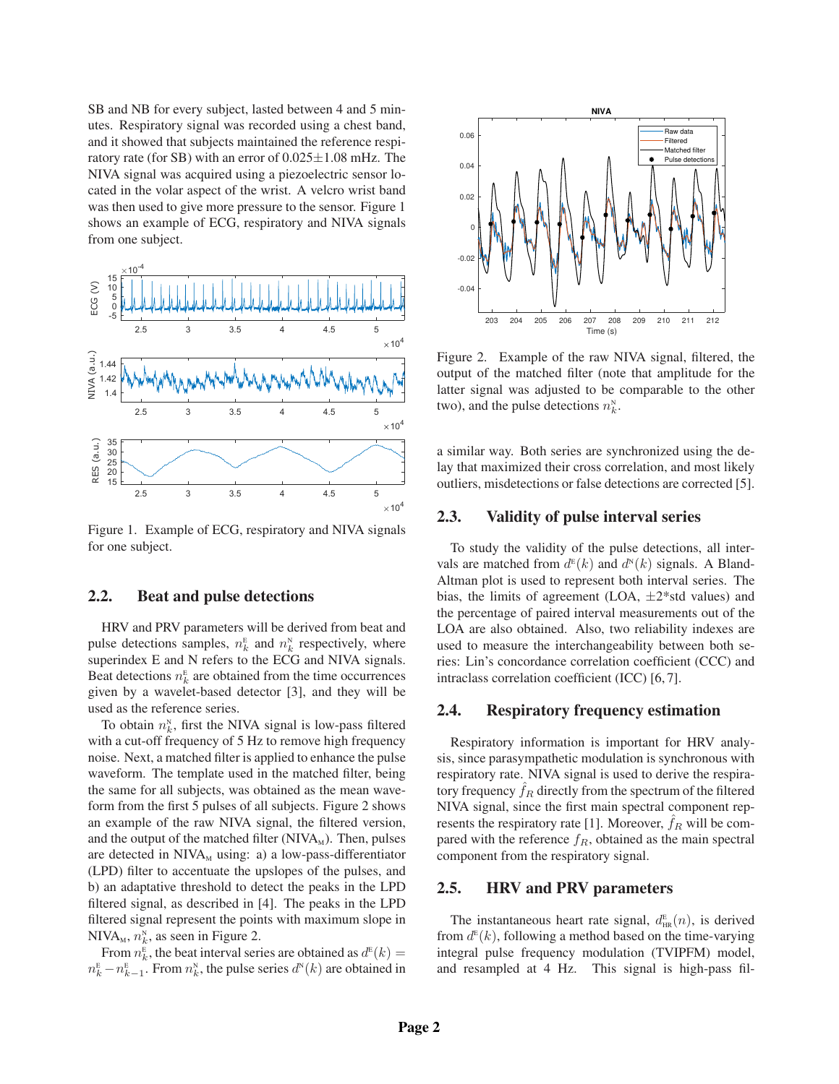SB and NB for every subject, lasted between 4 and 5 minutes. Respiratory signal was recorded using a chest band, and it showed that subjects maintained the reference respiratory rate (for SB) with an error of  $0.025 \pm 1.08$  mHz. The NIVA signal was acquired using a piezoelectric sensor located in the volar aspect of the wrist. A velcro wrist band was then used to give more pressure to the sensor. Figure 1 shows an example of ECG, respiratory and NIVA signals from one subject.



Figure 1. Example of ECG, respiratory and NIVA signals for one subject.

## **2.2. Beat and pulse detections**

HRV and PRV parameters will be derived from beat and pulse detections samples,  $n_k^E$  and  $n_k^N$  respectively, where superindex E and N refers to the ECG and NIVA signals. Beat detections  $n_k^E$  are obtained from the time occurrences given by a wavelet-based detector [3], and they will be used as the reference series.

To obtain  $n_k^N$ , first the NIVA signal is low-pass filtered with a cut-off frequency of 5 Hz to remove high frequency noise. Next, a matched filter is applied to enhance the pulse waveform. The template used in the matched filter, being the same for all subjects, was obtained as the mean waveform from the first 5 pulses of all subjects. Figure 2 shows an example of the raw NIVA signal, the filtered version, and the output of the matched filter  $(NIVA<sub>M</sub>)$ . Then, pulses are detected in  $NIVA<sub>M</sub>$  using: a) a low-pass-differentiator (LPD) filter to accentuate the upslopes of the pulses, and b) an adaptative threshold to detect the peaks in the LPD filtered signal, as described in [4]. The peaks in the LPD filtered signal represent the points with maximum slope in NIVA<sub>M</sub>,  $n_k^N$ , as seen in Figure 2.

From  $n_k^{\text{E}}$ , the beat interval series are obtained as  $d^{\text{E}}(k) =$  $n_k^E - n_{k-1}^E$ . From  $n_k^N$ , the pulse series  $d^N(k)$  are obtained in



Figure 2. Example of the raw NIVA signal, filtered, the output of the matched filter (note that amplitude for the latter signal was adjusted to be comparable to the other two), and the pulse detections  $n_k^{\text{N}}$ .

a similar way. Both series are synchronized using the delay that maximized their cross correlation, and most likely outliers, misdetections or false detections are corrected [5].

## **2.3. Validity of pulse interval series**

To study the validity of the pulse detections, all intervals are matched from  $d^{\text{E}}(k)$  and  $d^{\text{N}}(k)$  signals. A Bland-Altman plot is used to represent both interval series. The bias, the limits of agreement (LOA,  $\pm 2^*$ std values) and the percentage of paired interval measurements out of the LOA are also obtained. Also, two reliability indexes are used to measure the interchangeability between both series: Lin's concordance correlation coefficient (CCC) and intraclass correlation coefficient (ICC) [6, 7].

### **2.4. Respiratory frequency estimation**

Respiratory information is important for HRV analysis, since parasympathetic modulation is synchronous with respiratory rate. NIVA signal is used to derive the respiratory frequency  $f_R$  directly from the spectrum of the filtered NIVA signal, since the first main spectral component represents the respiratory rate [1]. Moreover,  $f_R$  will be compared with the reference  $f_R$ , obtained as the main spectral component from the respiratory signal.

# **2.5. HRV and PRV parameters**

The instantaneous heart rate signal,  $d_{HR}^{E}(n)$ , is derived from  $d^{\text{E}}(k)$ , following a method based on the time-varying integral pulse frequency modulation (TVIPFM) model, and resampled at 4 Hz. This signal is high-pass fil-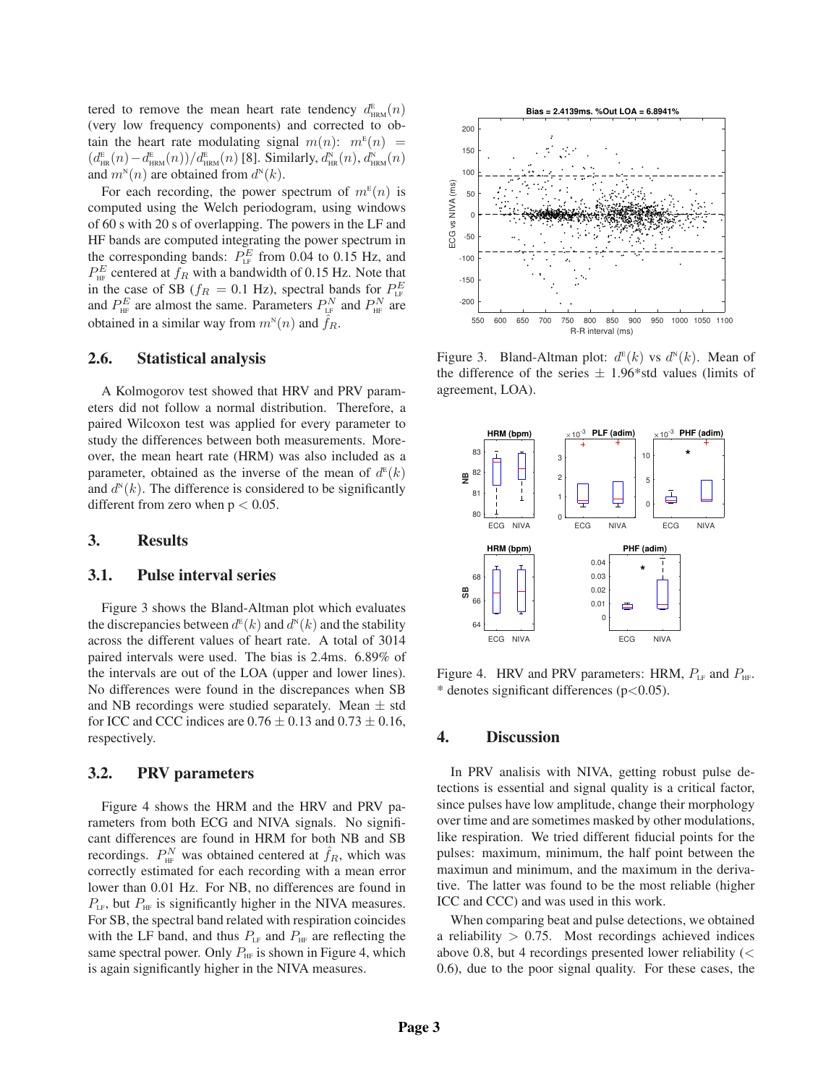tered to remove the mean heart rate tendency  $d_{\text{HRM}}^{\text{E}}(n)$ (very low frequency components) and corrected to obtain the heart rate modulating signal  $m(n)$ :  $m^{E}(n)$  =  $(d_{\text{HR}}^{\text{E}}(n) - d_{\text{HRM}}^{\text{E}}(n))/d_{\text{HRM}}^{\text{E}}(n)$  [8]. Similarly,  $d_{\text{HR}}^{\text{N}}(n)$ ,  $d_{\text{HRM}}^{\text{N}}(n)$ and  $m^{\scriptscriptstyle{N}}(n)$  are obtained from  $d^{\scriptscriptstyle{N}}(k)$ .

For each recording, the power spectrum of  $m^E(n)$  is computed using the Welch periodogram, using windows of 60 s with 20 s of overlapping. The powers in the LF and HF bands are computed integrating the power spectrum in the corresponding bands:  $P_{LF}^{E}$  from 0.04 to 0.15 Hz, and  $P_{\text{HF}}^E$  centered at  $f_R$  with a bandwidth of 0.15 Hz. Note that in the case of SB ( $f_R = 0.1$  Hz), spectral bands for  $P_{LF}^E$ and  $P_{HF}^E$  are almost the same. Parameters  $P_{LF}^N$  and  $P_{HF}^N$  are obtained in a similar way from  $m^{\scriptscriptstyle N}(n)$  and  $\hat{f}_R$ .

### **2.6. Statistical analysis**

A Kolmogorov test showed that HRV and PRV parameters did not follow a normal distribution. Therefore, a paired Wilcoxon test was applied for every parameter to study the differences between both measurements. Moreover, the mean heart rate (HRM) was also included as a parameter, obtained as the inverse of the mean of  $d^E(k)$ and  $d^N(k)$ . The difference is considered to be significantly different from zero when  $p < 0.05$ .

# **3. Results**

#### **3.1. Pulse interval series**

Figure 3 shows the Bland-Altman plot which evaluates the discrepancies between  $d^{\text{\tiny E}}(k)$  and  $d^{\text{\tiny N}}(k)$  and the stability across the different values of heart rate. A total of 3014 paired intervals were used. The bias is 2.4ms. 6.89% of the intervals are out of the LOA (upper and lower lines). No differences were found in the discrepances when SB and NB recordings were studied separately. Mean  $\pm$  std for ICC and CCC indices are  $0.76 \pm 0.13$  and  $0.73 \pm 0.16$ , respectively.

### **3.2. PRV parameters**

Figure 4 shows the HRM and the HRV and PRV parameters from both ECG and NIVA signals. No significant differences are found in HRM for both NB and SB recordings.  $P_{\text{HF}}^N$  was obtained centered at  $\hat{f}_R$ , which was correctly estimated for each recording with a mean error lower than 0.01 Hz. For NB, no differences are found in  $P_{LF}$ , but  $P_{HF}$  is significantly higher in the NIVA measures. For SB, the spectral band related with respiration coincides with the LF band, and thus  $P_{LF}$  and  $P_{HF}$  are reflecting the same spectral power. Only  $P_{HF}$  is shown in Figure 4, which is again significantly higher in the NIVA measures.



Figure 3. Bland-Altman plot:  $d^{E}(k)$  vs  $d^{N}(k)$ . Mean of the difference of the series  $\pm$  1.96\*std values (limits of agreement, LOA).



Figure 4. HRV and PRV parameters: HRM,  $P_{LF}$  and  $P_{HF}$ . \* denotes significant differences  $(p<0.05)$ .

### **4. Discussion**

In PRV analisis with NIVA, getting robust pulse detections is essential and signal quality is a critical factor, since pulses have low amplitude, change their morphology over time and are sometimes masked by other modulations, like respiration. We tried different fiducial points for the pulses: maximum, minimum, the half point between the maximun and minimum, and the maximum in the derivative. The latter was found to be the most reliable (higher ICC and CCC) and was used in this work.

When comparing beat and pulse detections, we obtained a reliability  $> 0.75$ . Most recordings achieved indices above 0.8, but 4 recordings presented lower reliability (< 0.6), due to the poor signal quality. For these cases, the